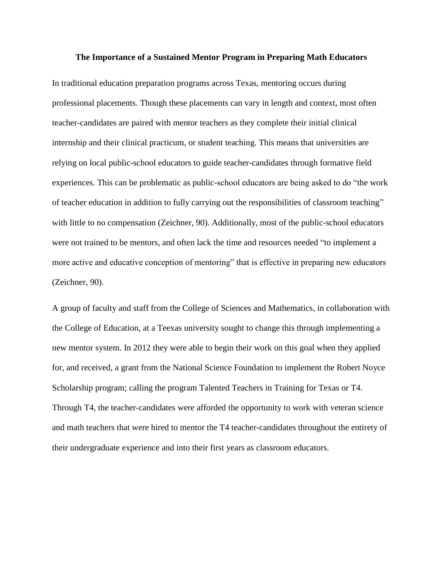#### **The Importance of a Sustained Mentor Program in Preparing Math Educators**

In traditional education preparation programs across Texas, mentoring occurs during professional placements. Though these placements can vary in length and context, most often teacher-candidates are paired with mentor teachers as they complete their initial clinical internship and their clinical practicum, or student teaching. This means that universities are relying on local public-school educators to guide teacher-candidates through formative field experiences. This can be problematic as public-school educators are being asked to do "the work of teacher education in addition to fully carrying out the responsibilities of classroom teaching" with little to no compensation (Zeichner, 90). Additionally, most of the public-school educators were not trained to be mentors, and often lack the time and resources needed "to implement a more active and educative conception of mentoring" that is effective in preparing new educators (Zeichner, 90).

A group of faculty and staff from the College of Sciences and Mathematics, in collaboration with the College of Education, at a Teexas university sought to change this through implementing a new mentor system. In 2012 they were able to begin their work on this goal when they applied for, and received, a grant from the National Science Foundation to implement the Robert Noyce Scholarship program; calling the program Talented Teachers in Training for Texas or T4. Through T4, the teacher-candidates were afforded the opportunity to work with veteran science and math teachers that were hired to mentor the T4 teacher-candidates throughout the entirety of their undergraduate experience and into their first years as classroom educators.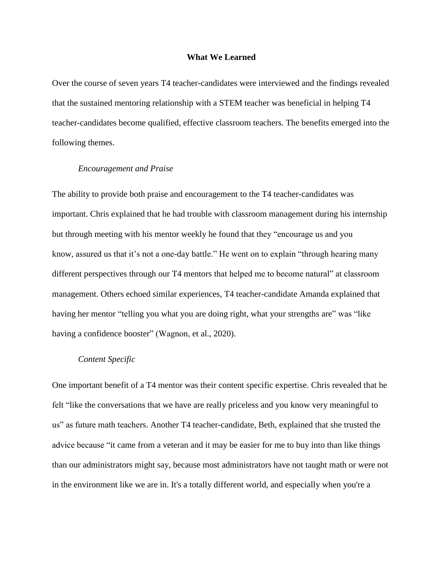#### **What We Learned**

Over the course of seven years T4 teacher-candidates were interviewed and the findings revealed that the sustained mentoring relationship with a STEM teacher was beneficial in helping T4 teacher-candidates become qualified, effective classroom teachers. The benefits emerged into the following themes.

#### *Encouragement and Praise*

The ability to provide both praise and encouragement to the T4 teacher-candidates was important. Chris explained that he had trouble with classroom management during his internship but through meeting with his mentor weekly he found that they "encourage us and you know, assured us that it's not a one-day battle." He went on to explain "through hearing many different perspectives through our T4 mentors that helped me to become natural" at classroom management. Others echoed similar experiences, T4 teacher-candidate Amanda explained that having her mentor "telling you what you are doing right, what your strengths are" was "like having a confidence booster" (Wagnon, et al., 2020).

### *Content Specific*

One important benefit of a T4 mentor was their content specific expertise. Chris revealed that he felt "like the conversations that we have are really priceless and you know very meaningful to us" as future math teachers. Another T4 teacher-candidate, Beth, explained that she trusted the advice because "it came from a veteran and it may be easier for me to buy into than like things than our administrators might say, because most administrators have not taught math or were not in the environment like we are in. It's a totally different world, and especially when you're a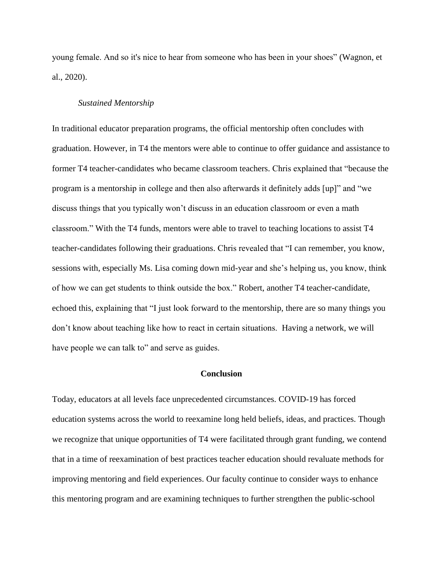young female. And so it's nice to hear from someone who has been in your shoes" (Wagnon, et al., 2020).

### *Sustained Mentorship*

In traditional educator preparation programs, the official mentorship often concludes with graduation. However, in T4 the mentors were able to continue to offer guidance and assistance to former T4 teacher-candidates who became classroom teachers. Chris explained that "because the program is a mentorship in college and then also afterwards it definitely adds [up]" and "we discuss things that you typically won't discuss in an education classroom or even a math classroom." With the T4 funds, mentors were able to travel to teaching locations to assist T4 teacher-candidates following their graduations. Chris revealed that "I can remember, you know, sessions with, especially Ms. Lisa coming down mid-year and she's helping us, you know, think of how we can get students to think outside the box." Robert, another T4 teacher-candidate, echoed this, explaining that "I just look forward to the mentorship, there are so many things you don't know about teaching like how to react in certain situations. Having a network, we will have people we can talk to" and serve as guides.

# **Conclusion**

Today, educators at all levels face unprecedented circumstances. COVID-19 has forced education systems across the world to reexamine long held beliefs, ideas, and practices. Though we recognize that unique opportunities of T4 were facilitated through grant funding, we contend that in a time of reexamination of best practices teacher education should revaluate methods for improving mentoring and field experiences. Our faculty continue to consider ways to enhance this mentoring program and are examining techniques to further strengthen the public-school